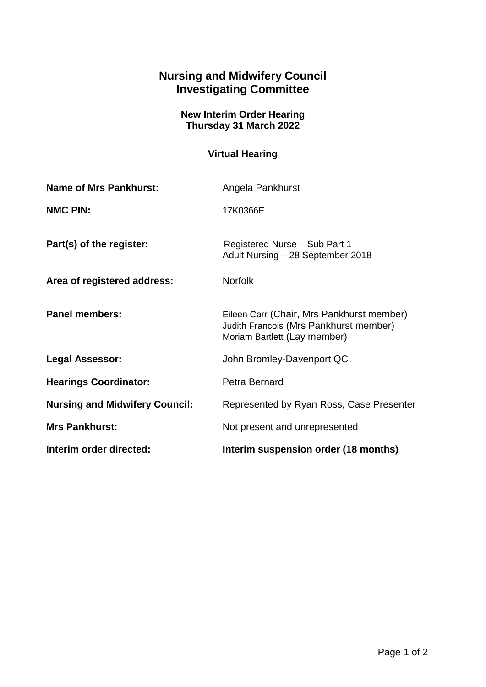## **Nursing and Midwifery Council Investigating Committee**

## **New Interim Order Hearing Thursday 31 March 2022**

## **Virtual Hearing**

| <b>Name of Mrs Pankhurst:</b>         | Angela Pankhurst                                                                                                    |
|---------------------------------------|---------------------------------------------------------------------------------------------------------------------|
| <b>NMC PIN:</b>                       | 17K0366E                                                                                                            |
| Part(s) of the register:              | Registered Nurse - Sub Part 1<br>Adult Nursing - 28 September 2018                                                  |
| Area of registered address:           | <b>Norfolk</b>                                                                                                      |
| <b>Panel members:</b>                 | Eileen Carr (Chair, Mrs Pankhurst member)<br>Judith Francois (Mrs Pankhurst member)<br>Moriam Bartlett (Lay member) |
| <b>Legal Assessor:</b>                | John Bromley-Davenport QC                                                                                           |
| <b>Hearings Coordinator:</b>          | Petra Bernard                                                                                                       |
| <b>Nursing and Midwifery Council:</b> | Represented by Ryan Ross, Case Presenter                                                                            |
| <b>Mrs Pankhurst:</b>                 | Not present and unrepresented                                                                                       |
| Interim order directed:               | Interim suspension order (18 months)                                                                                |